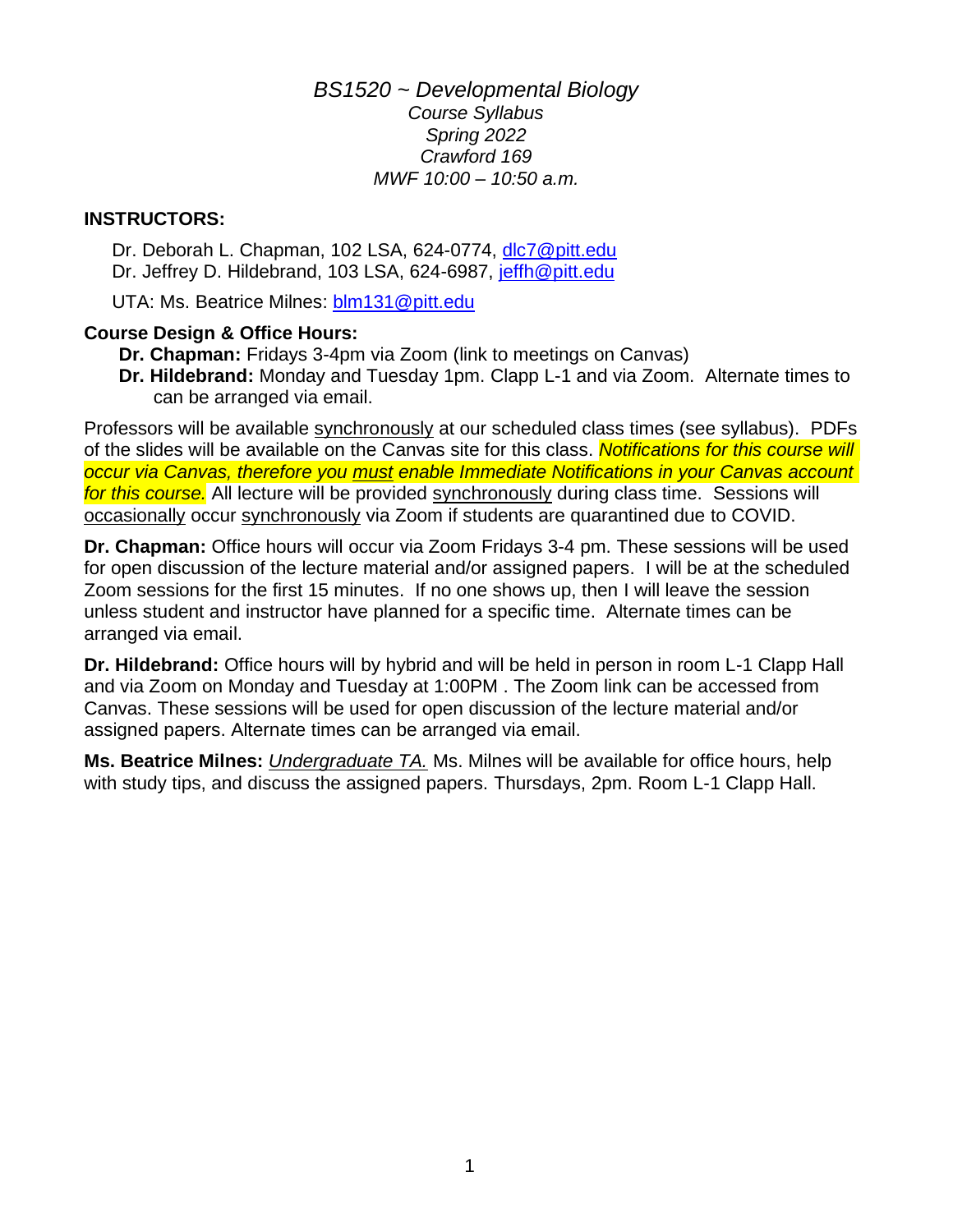*BS1520 ~ Developmental Biology Course Syllabus Spring 2022 Crawford 169 MWF 10:00 – 10:50 a.m.*

## **INSTRUCTORS:**

Dr. Deborah L. Chapman, 102 LSA, 624-0774, [dlc7@pitt.edu](mailto:dlc7@pitt.edu) Dr. Jeffrey D. Hildebrand, 103 LSA, 624-6987, [jeffh@pitt.edu](mailto:jeffh@pitt.edu)

UTA: Ms. Beatrice Milnes: [blm131@pitt.edu](mailto:blm131@pitt.edu)

## **Course Design & Office Hours:**

- **Dr. Chapman:** Fridays 3-4pm via Zoom (link to meetings on Canvas)
- **Dr. Hildebrand:** Monday and Tuesday 1pm. Clapp L-1 and via Zoom. Alternate times to can be arranged via email.

Professors will be available synchronously at our scheduled class times (see syllabus). PDFs of the slides will be available on the Canvas site for this class. *Notifications for this course will occur via Canvas, therefore you must enable Immediate Notifications in your Canvas account for this course.* All lecture will be provided synchronously during class time. Sessions will occasionally occur synchronously via Zoom if students are quarantined due to COVID.

**Dr. Chapman:** Office hours will occur via Zoom Fridays 3-4 pm. These sessions will be used for open discussion of the lecture material and/or assigned papers. I will be at the scheduled Zoom sessions for the first 15 minutes. If no one shows up, then I will leave the session unless student and instructor have planned for a specific time. Alternate times can be arranged via email.

**Dr. Hildebrand:** Office hours will by hybrid and will be held in person in room L-1 Clapp Hall and via Zoom on Monday and Tuesday at 1:00PM . The Zoom link can be accessed from Canvas. These sessions will be used for open discussion of the lecture material and/or assigned papers. Alternate times can be arranged via email.

**Ms. Beatrice Milnes:** *Undergraduate TA.* Ms. Milnes will be available for office hours, help with study tips, and discuss the assigned papers. Thursdays, 2pm. Room L-1 Clapp Hall.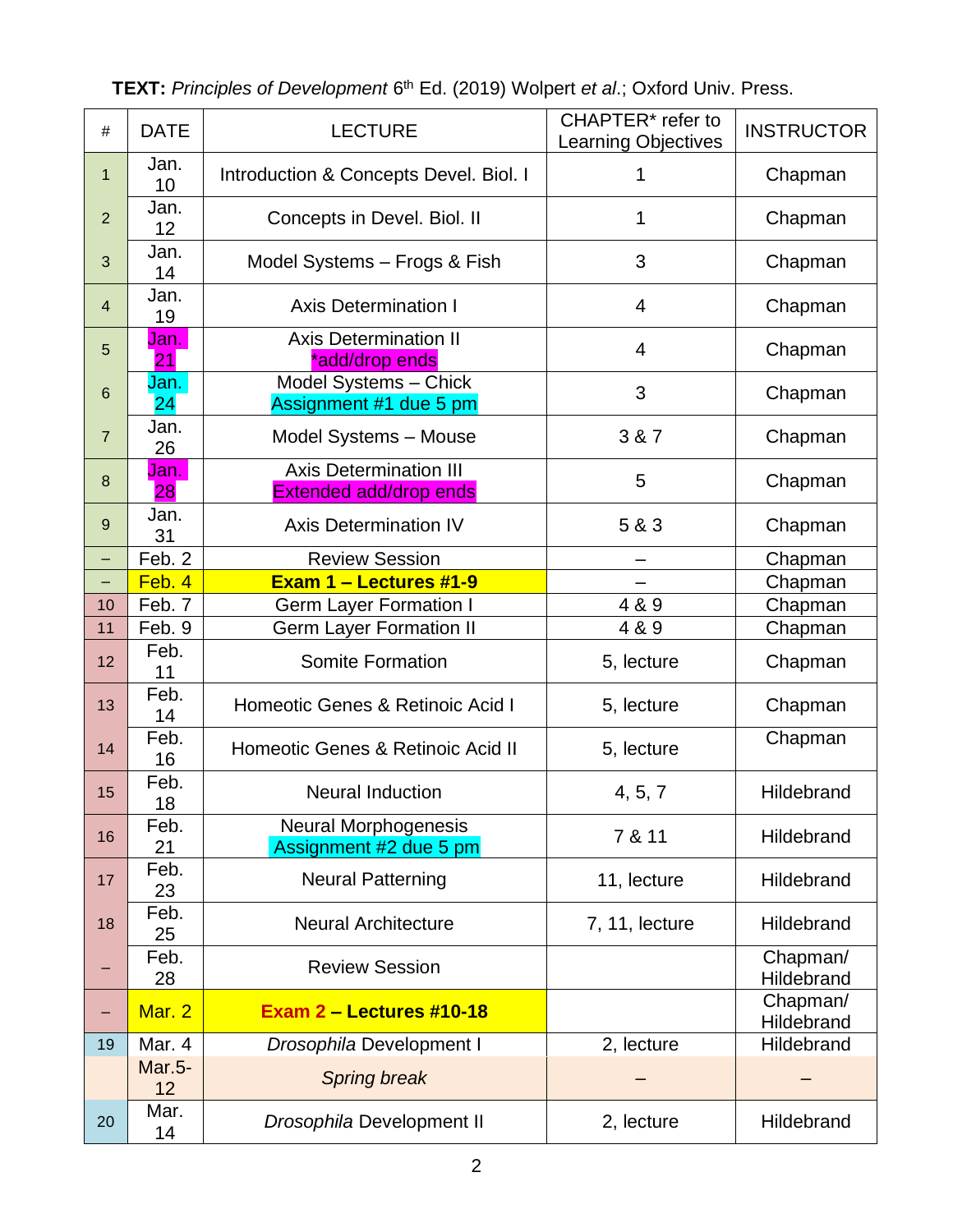| $\#$                     | <b>DATE</b>         | <b>LECTURE</b>                                          | CHAPTER* refer to<br><b>Learning Objectives</b> | <b>INSTRUCTOR</b>      |
|--------------------------|---------------------|---------------------------------------------------------|-------------------------------------------------|------------------------|
| $\mathbf 1$              | Jan.<br>10          | Introduction & Concepts Devel. Biol. I                  | 1                                               | Chapman                |
| $\overline{2}$           | Jan.<br>12          | Concepts in Devel. Biol. II                             | 1                                               | Chapman                |
| 3                        | Jan.<br>14          | Model Systems - Frogs & Fish                            | 3                                               | Chapman                |
| $\overline{4}$           | Jan.<br>19          | <b>Axis Determination I</b>                             | 4                                               | Chapman                |
| 5                        | Jan.<br>21          | <b>Axis Determination II</b><br>*add/drop ends          | $\overline{4}$                                  | Chapman                |
| $6\phantom{1}6$          | Jan.<br>24          | Model Systems - Chick<br>Assignment #1 due 5 pm         | 3                                               | Chapman                |
| $\overline{7}$           | Jan.<br>26          | Model Systems - Mouse                                   | 3 & 7                                           | Chapman                |
| $\bf 8$                  | Jan.<br>28          | <b>Axis Determination III</b><br>Extended add/drop ends | 5                                               | Chapman                |
| 9                        | Jan.<br>31          | <b>Axis Determination IV</b>                            | 5 & 3                                           | Chapman                |
| $\overline{\phantom{0}}$ | Feb. 2              | <b>Review Session</b>                                   |                                                 | Chapman                |
|                          | Feb. 4              | Exam 1 - Lectures #1-9                                  |                                                 | Chapman                |
| 10                       | Feb. 7              | <b>Germ Layer Formation I</b>                           | 4 & 9                                           | Chapman                |
| 11                       | Feb. 9              | <b>Germ Layer Formation II</b>                          | 4 & 9                                           | Chapman                |
| 12                       | Feb.<br>11          | <b>Somite Formation</b>                                 | 5, lecture                                      | Chapman                |
| 13                       | Feb.<br>14          | Homeotic Genes & Retinoic Acid I                        | 5, lecture                                      | Chapman                |
| 14                       | Feb.<br>16          | Homeotic Genes & Retinoic Acid II                       | 5, lecture                                      | Chapman                |
| 15                       | Feb.<br>18          | <b>Neural Induction</b>                                 | 4, 5, 7                                         | Hildebrand             |
| 16                       | Feb.<br>21          | <b>Neural Morphogenesis</b><br>Assignment #2 due 5 pm   | 7 & 11                                          | Hildebrand             |
| 17                       | Feb.<br>23          | <b>Neural Patterning</b>                                | 11, lecture                                     | Hildebrand             |
| 18                       | Feb.<br>25          | <b>Neural Architecture</b>                              | 7, 11, lecture                                  | Hildebrand             |
|                          | Feb.<br>28          | <b>Review Session</b>                                   |                                                 | Chapman/<br>Hildebrand |
|                          | Mar. 2              | Exam $2$ – Lectures #10-18                              |                                                 | Chapman/<br>Hildebrand |
| 19                       | Mar. 4              | Drosophila Development I                                | 2, lecture                                      | Hildebrand             |
|                          | <b>Mar.5-</b><br>12 | <b>Spring break</b>                                     |                                                 |                        |
| 20                       | Mar.<br>14          | Drosophila Development II                               | 2, lecture                                      | Hildebrand             |

**TEXT:** Principles of Development 6<sup>th</sup> Ed. (2019) Wolpert *et al.*; Oxford Univ. Press.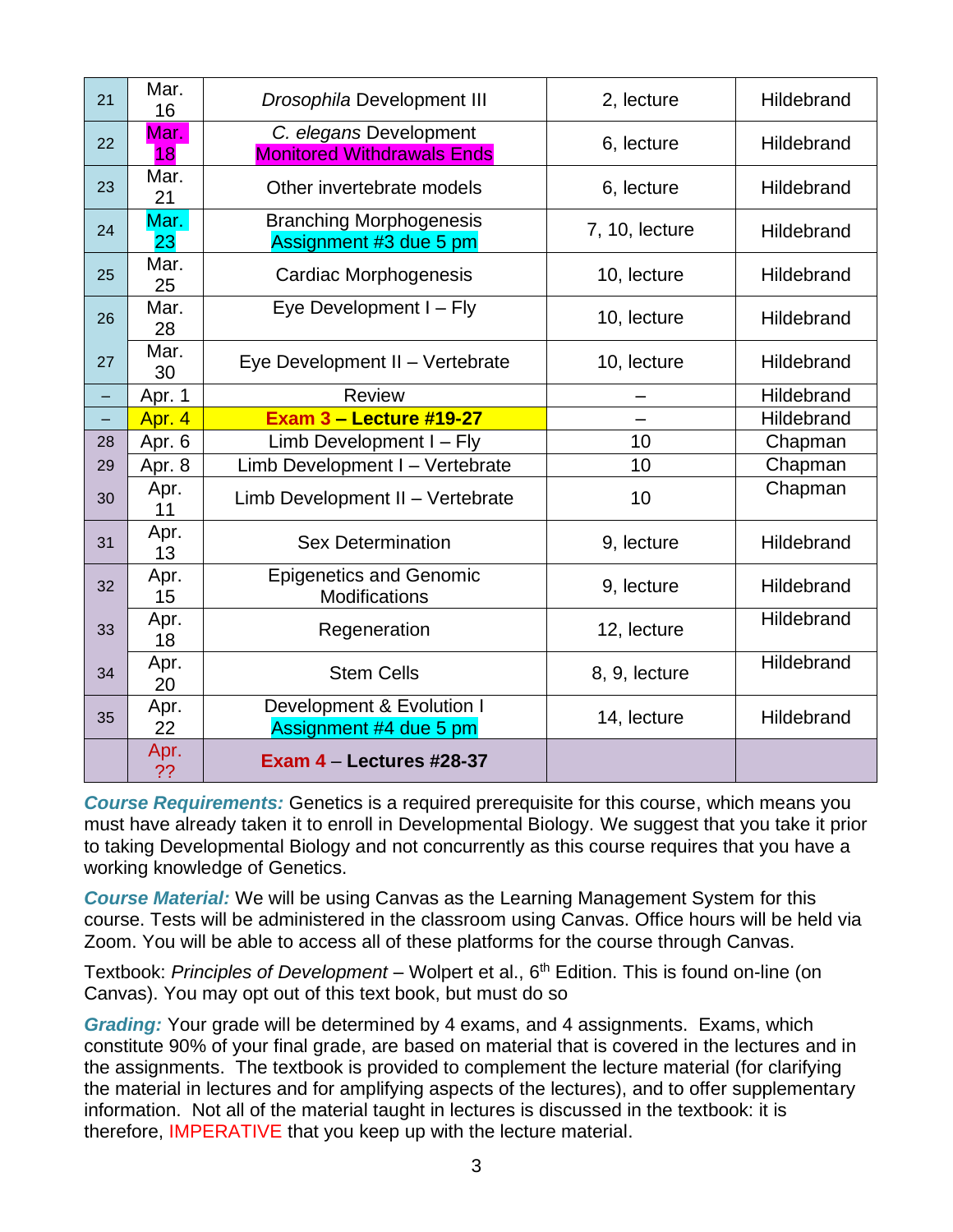| 21 | Mar.<br>16 | Drosophila Development III                                  | 2, lecture     | Hildebrand |
|----|------------|-------------------------------------------------------------|----------------|------------|
| 22 | Mar.<br>18 | C. elegans Development<br><b>Monitored Withdrawals Ends</b> | 6, lecture     | Hildebrand |
| 23 | Mar.<br>21 | Other invertebrate models                                   | 6, lecture     | Hildebrand |
| 24 | Mar.<br>23 | <b>Branching Morphogenesis</b><br>Assignment #3 due 5 pm    | 7, 10, lecture | Hildebrand |
| 25 | Mar.<br>25 | <b>Cardiac Morphogenesis</b>                                | 10, lecture    | Hildebrand |
| 26 | Mar.<br>28 | Eye Development I - Fly                                     | 10, lecture    | Hildebrand |
| 27 | Mar.<br>30 | Eye Development II - Vertebrate                             | 10, lecture    | Hildebrand |
|    | Apr. 1     | <b>Review</b>                                               |                | Hildebrand |
| -  | Apr. 4     | <b>Exam 3 - Lecture #19-27</b>                              |                | Hildebrand |
| 28 | Apr. 6     | Limb Development I - Fly                                    | 10             | Chapman    |
| 29 | Apr. 8     | Limb Development I - Vertebrate                             | 10             | Chapman    |
| 30 | Apr.<br>11 | Limb Development II - Vertebrate                            | 10             | Chapman    |
| 31 | Apr.<br>13 | <b>Sex Determination</b>                                    | 9, lecture     | Hildebrand |
| 32 | Apr.<br>15 | <b>Epigenetics and Genomic</b><br><b>Modifications</b>      | 9, lecture     | Hildebrand |
| 33 | Apr.<br>18 | Regeneration                                                | 12, lecture    | Hildebrand |
| 34 | Apr.<br>20 | <b>Stem Cells</b>                                           | 8, 9, lecture  | Hildebrand |
| 35 | Apr.<br>22 | Development & Evolution I<br>Assignment #4 due 5 pm         | 14, lecture    | Hildebrand |
|    | Apr.<br>?? | Exam $4 -$ Lectures #28-37                                  |                |            |

*Course Requirements:* Genetics is a required prerequisite for this course, which means you must have already taken it to enroll in Developmental Biology. We suggest that you take it prior to taking Developmental Biology and not concurrently as this course requires that you have a working knowledge of Genetics.

*Course Material:* We will be using Canvas as the Learning Management System for this course. Tests will be administered in the classroom using Canvas. Office hours will be held via Zoom. You will be able to access all of these platforms for the course through Canvas.

Textbook: *Principles of Development* – Wolpert et al., 6<sup>th</sup> Edition. This is found on-line (on Canvas). You may opt out of this text book, but must do so

*Grading:* Your grade will be determined by 4 exams, and 4 assignments. Exams, which constitute 90% of your final grade, are based on material that is covered in the lectures and in the assignments. The textbook is provided to complement the lecture material (for clarifying the material in lectures and for amplifying aspects of the lectures), and to offer supplementary information. Not all of the material taught in lectures is discussed in the textbook: it is therefore, IMPERATIVE that you keep up with the lecture material.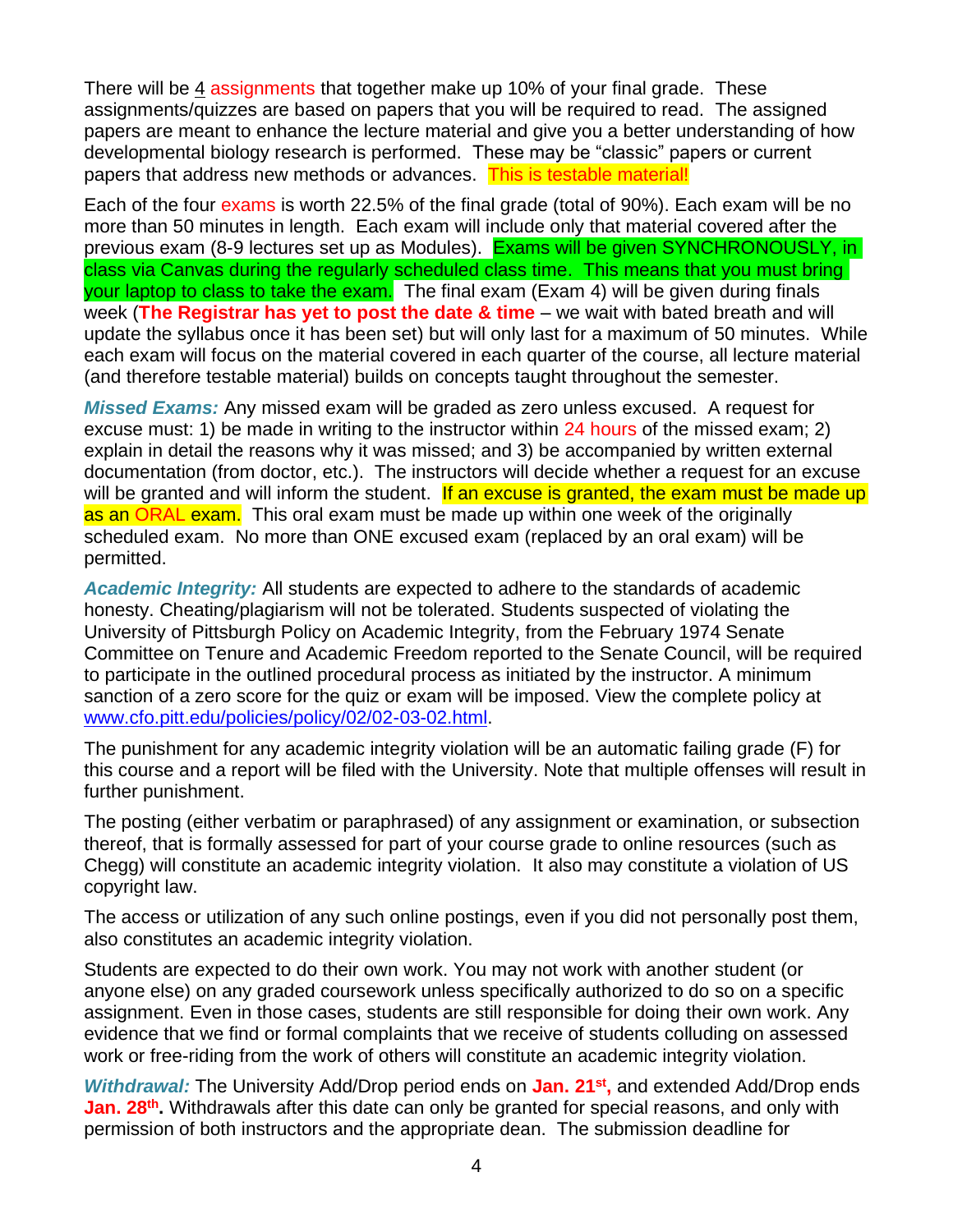There will be 4 assignments that together make up 10% of your final grade. These assignments/quizzes are based on papers that you will be required to read. The assigned papers are meant to enhance the lecture material and give you a better understanding of how developmental biology research is performed. These may be "classic" papers or current papers that address new methods or advances. This is testable material!

Each of the four exams is worth 22.5% of the final grade (total of 90%). Each exam will be no more than 50 minutes in length. Each exam will include only that material covered after the previous exam (8-9 lectures set up as Modules). Exams will be given SYNCHRONOUSLY, in class via Canvas during the regularly scheduled class time. This means that you must bring vour laptop to class to take the exam. The final exam (Exam 4) will be given during finals week (**The Registrar has yet to post the date & time** – we wait with bated breath and will update the syllabus once it has been set) but will only last for a maximum of 50 minutes. While each exam will focus on the material covered in each quarter of the course, all lecture material (and therefore testable material) builds on concepts taught throughout the semester.

*Missed Exams:* Any missed exam will be graded as zero unless excused. A request for excuse must: 1) be made in writing to the instructor within 24 hours of the missed exam; 2) explain in detail the reasons why it was missed; and 3) be accompanied by written external documentation (from doctor, etc.). The instructors will decide whether a request for an excuse will be granted and will inform the student. If an excuse is granted, the exam must be made up as an ORAL exam. This oral exam must be made up within one week of the originally scheduled exam. No more than ONE excused exam (replaced by an oral exam) will be permitted.

*Academic Integrity:* All students are expected to adhere to the standards of academic honesty. Cheating/plagiarism will not be tolerated. Students suspected of violating the University of Pittsburgh Policy on Academic Integrity, from the February 1974 Senate Committee on Tenure and Academic Freedom reported to the Senate Council, will be required to participate in the outlined procedural process as initiated by the instructor. A minimum sanction of a zero score for the quiz or exam will be imposed. View the complete policy at [www.cfo.pitt.edu/policies/policy/02/02-03-02.html.](http://www.cfo.pitt.edu/policies/policy/02/02-03-02.html)

The punishment for any academic integrity violation will be an automatic failing grade (F) for this course and a report will be filed with the University. Note that multiple offenses will result in further punishment.

The posting (either verbatim or paraphrased) of any assignment or examination, or subsection thereof, that is formally assessed for part of your course grade to online resources (such as Chegg) will constitute an academic integrity violation. It also may constitute a violation of US copyright law.

The access or utilization of any such online postings, even if you did not personally post them, also constitutes an academic integrity violation.

Students are expected to do their own work. You may not work with another student (or anyone else) on any graded coursework unless specifically authorized to do so on a specific assignment. Even in those cases, students are still responsible for doing their own work. Any evidence that we find or formal complaints that we receive of students colluding on assessed work or free-riding from the work of others will constitute an academic integrity violation.

*Withdrawal:* The University Add/Drop period ends on **Jan. 21st ,** and extended Add/Drop ends **Jan. 28<sup>th</sup>.** Withdrawals after this date can only be granted for special reasons, and only with permission of both instructors and the appropriate dean. The submission deadline for